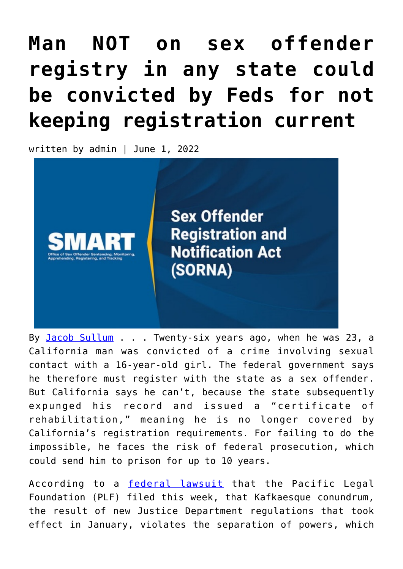## **[Man NOT on sex offender](https://narsol.org/2022/06/man-not-on-sex-offender-registry-in-any-state-could-be-convicted-by-feds-for-not-keeping-registration-current/) [registry in any state could](https://narsol.org/2022/06/man-not-on-sex-offender-registry-in-any-state-could-be-convicted-by-feds-for-not-keeping-registration-current/) [be convicted by Feds for not](https://narsol.org/2022/06/man-not-on-sex-offender-registry-in-any-state-could-be-convicted-by-feds-for-not-keeping-registration-current/) [keeping registration current](https://narsol.org/2022/06/man-not-on-sex-offender-registry-in-any-state-could-be-convicted-by-feds-for-not-keeping-registration-current/)**

written by admin | June 1, 2022



By [Jacob Sullum](https://reason.com/people/jacob-sullum/) . . . Twenty-six years ago, when he was 23, a California man was convicted of a crime involving sexual contact with a 16-year-old girl. The federal government says he therefore must register with the state as a sex offender. But California says he can't, because the state subsequently expunged his record and issued a "certificate of rehabilitation," meaning he is no longer covered by California's registration requirements. For failing to do the impossible, he faces the risk of federal prosecution, which could send him to prison for up to 10 years.

According to a [federal lawsuit](https://pacificlegal.org/case/marine-veteran-fights-unconstitutional-registry-rule/) that the Pacific Legal Foundation (PLF) filed this week, that Kafkaesque conundrum, the result of new Justice Department regulations that took effect in January, violates the separation of powers, which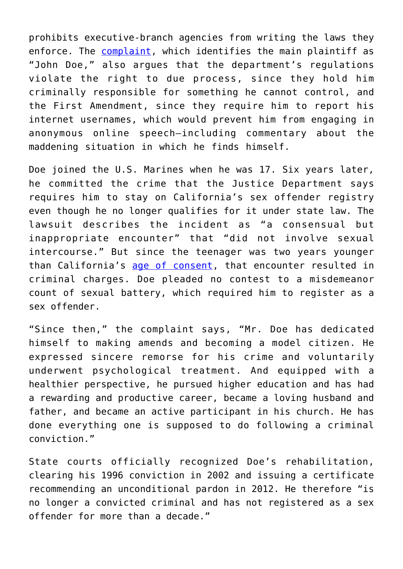prohibits executive-branch agencies from writing the laws they enforce. The [complaint](https://pacificlegal.org/wp-content/uploads/2022/05/2022-05-24-john-doe-v-doj-filed-complaint.pdf), which identifies the main plaintiff as "John Doe," also argues that the department's regulations violate the right to due process, since they hold him criminally responsible for something he cannot control, and the First Amendment, since they require him to report his internet usernames, which would prevent him from engaging in anonymous online speech—including commentary about the maddening situation in which he finds himself.

Doe joined the U.S. Marines when he was 17. Six years later, he committed the crime that the Justice Department says requires him to stay on California's sex offender registry even though he no longer qualifies for it under state law. The lawsuit describes the incident as "a consensual but inappropriate encounter" that "did not involve sexual intercourse." But since the teenager was two years younger than California's [age of consent,](https://www.shouselaw.com/ca/defense/laws/age-of-consent/) that encounter resulted in criminal charges. Doe pleaded no contest to a misdemeanor count of sexual battery, which required him to register as a sex offender.

"Since then," the complaint says, "Mr. Doe has dedicated himself to making amends and becoming a model citizen. He expressed sincere remorse for his crime and voluntarily underwent psychological treatment. And equipped with a healthier perspective, he pursued higher education and has had a rewarding and productive career, became a loving husband and father, and became an active participant in his church. He has done everything one is supposed to do following a criminal conviction."

State courts officially recognized Doe's rehabilitation, clearing his 1996 conviction in 2002 and issuing a certificate recommending an unconditional pardon in 2012. He therefore "is no longer a convicted criminal and has not registered as a sex offender for more than a decade."